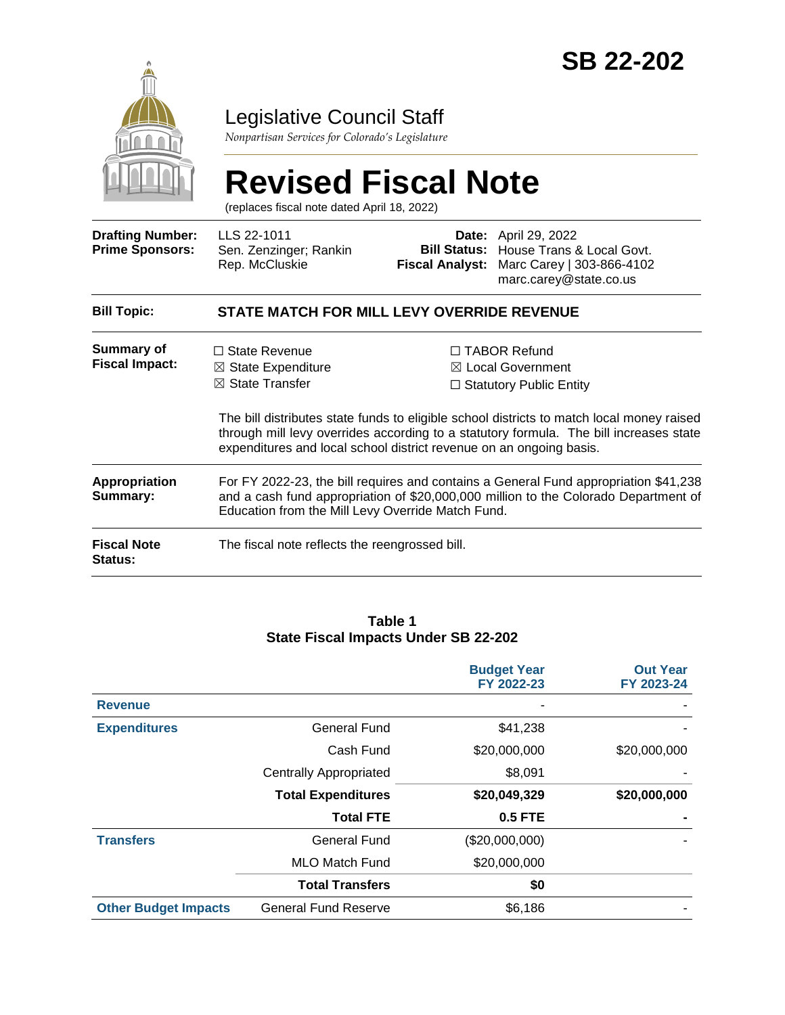

### Legislative Council Staff

*Nonpartisan Services for Colorado's Legislature*

# **Revised Fiscal Note**

(replaces fiscal note dated April 18, 2022)

| <b>Drafting Number:</b><br><b>Prime Sponsors:</b> | LLS 22-1011<br>Sen. Zenzinger; Rankin<br>Rep. McCluskie                                                                                                                                                                                                         | Fiscal Analyst:                                                                                                                                                             | <b>Date:</b> April 29, 2022<br><b>Bill Status:</b> House Trans & Local Govt.<br>Marc Carey   303-866-4102<br>marc.carey@state.co.us |  |
|---------------------------------------------------|-----------------------------------------------------------------------------------------------------------------------------------------------------------------------------------------------------------------------------------------------------------------|-----------------------------------------------------------------------------------------------------------------------------------------------------------------------------|-------------------------------------------------------------------------------------------------------------------------------------|--|
| <b>Bill Topic:</b>                                | STATE MATCH FOR MILL LEVY OVERRIDE REVENUE                                                                                                                                                                                                                      |                                                                                                                                                                             |                                                                                                                                     |  |
| Summary of<br><b>Fiscal Impact:</b>               | $\Box$ State Revenue<br>$\Box$ TABOR Refund<br>⊠ Local Government<br>$\boxtimes$ State Expenditure<br>$\boxtimes$ State Transfer<br>$\Box$ Statutory Public Entity<br>The bill distributes state funds to eligible school districts to match local money raised |                                                                                                                                                                             |                                                                                                                                     |  |
|                                                   | expenditures and local school district revenue on an ongoing basis.                                                                                                                                                                                             |                                                                                                                                                                             | through mill levy overrides according to a statutory formula. The bill increases state                                              |  |
| <b>Appropriation</b><br>Summary:                  | Education from the Mill Levy Override Match Fund.                                                                                                                                                                                                               | For FY 2022-23, the bill requires and contains a General Fund appropriation \$41,238<br>and a cash fund appropriation of \$20,000,000 million to the Colorado Department of |                                                                                                                                     |  |
| <b>Fiscal Note</b><br><b>Status:</b>              | The fiscal note reflects the reengrossed bill.                                                                                                                                                                                                                  |                                                                                                                                                                             |                                                                                                                                     |  |

#### **Table 1 State Fiscal Impacts Under SB 22-202**

|                             |                               | <b>Budget Year</b><br>FY 2022-23 | <b>Out Year</b><br>FY 2023-24 |
|-----------------------------|-------------------------------|----------------------------------|-------------------------------|
| <b>Revenue</b>              |                               |                                  |                               |
| <b>Expenditures</b>         | General Fund                  | \$41,238                         |                               |
|                             | Cash Fund                     | \$20,000,000                     | \$20,000,000                  |
|                             | <b>Centrally Appropriated</b> | \$8,091                          |                               |
|                             | <b>Total Expenditures</b>     | \$20,049,329                     | \$20,000,000                  |
|                             | <b>Total FTE</b>              | <b>0.5 FTE</b>                   |                               |
| <b>Transfers</b>            | <b>General Fund</b>           | (\$20,000,000)                   |                               |
|                             | <b>MLO Match Fund</b>         | \$20,000,000                     |                               |
|                             | <b>Total Transfers</b>        | \$0                              |                               |
| <b>Other Budget Impacts</b> | <b>General Fund Reserve</b>   | \$6,186                          |                               |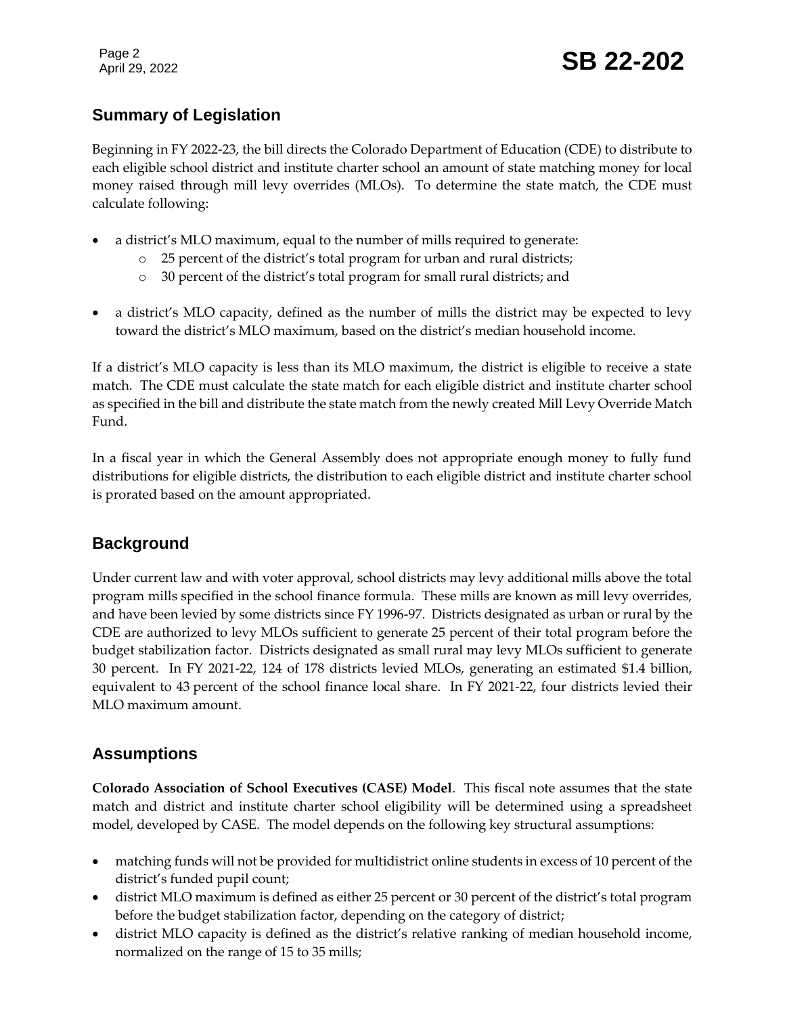## Page 2<br>April 29, 2022 **SB 22-202**

#### **Summary of Legislation**

Beginning in FY 2022-23, the bill directs the Colorado Department of Education (CDE) to distribute to each eligible school district and institute charter school an amount of state matching money for local money raised through mill levy overrides (MLOs). To determine the state match, the CDE must calculate following:

- a district's MLO maximum, equal to the number of mills required to generate:
	- o 25 percent of the district's total program for urban and rural districts;
	- o 30 percent of the district's total program for small rural districts; and
- a district's MLO capacity, defined as the number of mills the district may be expected to levy toward the district's MLO maximum, based on the district's median household income.

If a district's MLO capacity is less than its MLO maximum, the district is eligible to receive a state match. The CDE must calculate the state match for each eligible district and institute charter school as specified in the bill and distribute the state match from the newly created Mill Levy Override Match Fund.

In a fiscal year in which the General Assembly does not appropriate enough money to fully fund distributions for eligible districts, the distribution to each eligible district and institute charter school is prorated based on the amount appropriated.

#### **Background**

Under current law and with voter approval, school districts may levy additional mills above the total program mills specified in the school finance formula. These mills are known as mill levy overrides, and have been levied by some districts since FY 1996-97. Districts designated as urban or rural by the CDE are authorized to levy MLOs sufficient to generate 25 percent of their total program before the budget stabilization factor. Districts designated as small rural may levy MLOs sufficient to generate 30 percent. In FY 2021-22, 124 of 178 districts levied MLOs, generating an estimated \$1.4 billion, equivalent to 43 percent of the school finance local share. In FY 2021-22, four districts levied their MLO maximum amount.

#### **Assumptions**

**Colorado Association of School Executives (CASE) Model**. This fiscal note assumes that the state match and district and institute charter school eligibility will be determined using a spreadsheet model, developed by CASE. The model depends on the following key structural assumptions:

- matching funds will not be provided for multidistrict online students in excess of 10 percent of the district's funded pupil count;
- district MLO maximum is defined as either 25 percent or 30 percent of the district's total program before the budget stabilization factor, depending on the category of district;
- district MLO capacity is defined as the district's relative ranking of median household income, normalized on the range of 15 to 35 mills;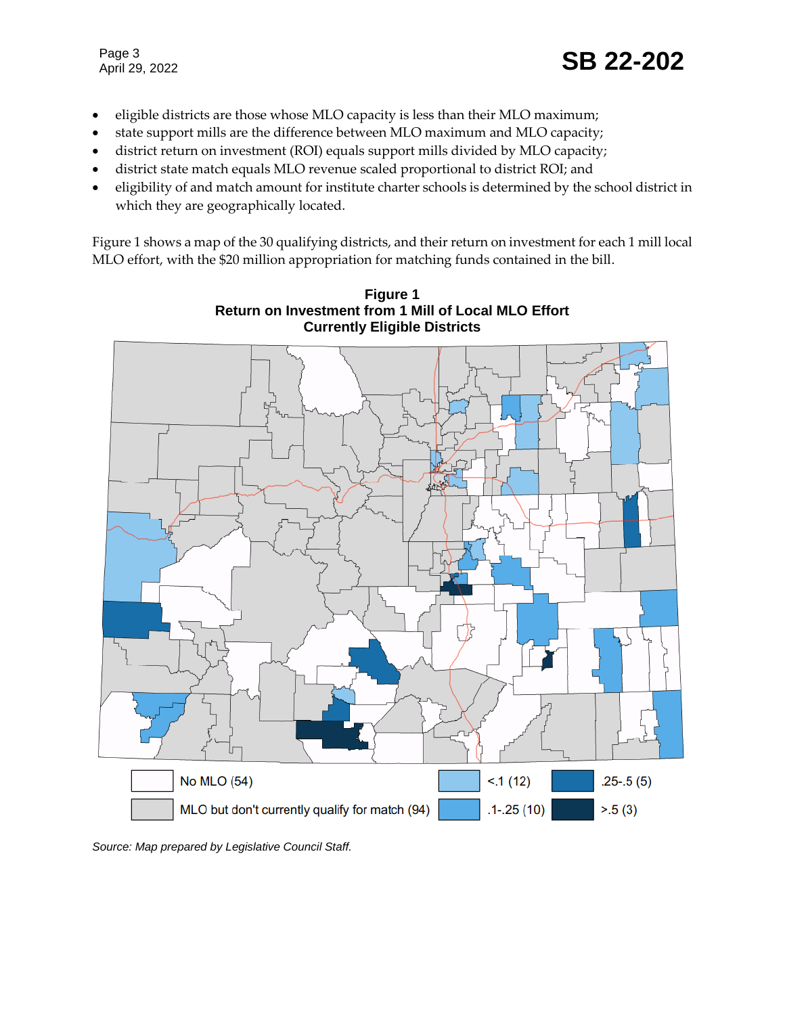- eligible districts are those whose MLO capacity is less than their MLO maximum;
- state support mills are the difference between MLO maximum and MLO capacity;
- district return on investment (ROI) equals support mills divided by MLO capacity;
- district state match equals MLO revenue scaled proportional to district ROI; and
- eligibility of and match amount for institute charter schools is determined by the school district in which they are geographically located.

Figure 1 shows a map of the 30 qualifying districts, and their return on investment for each 1 mill local MLO effort, with the \$20 million appropriation for matching funds contained in the bill.



**Figure 1 Return on Investment from 1 Mill of Local MLO Effort**

*Source: Map prepared by Legislative Council Staff.*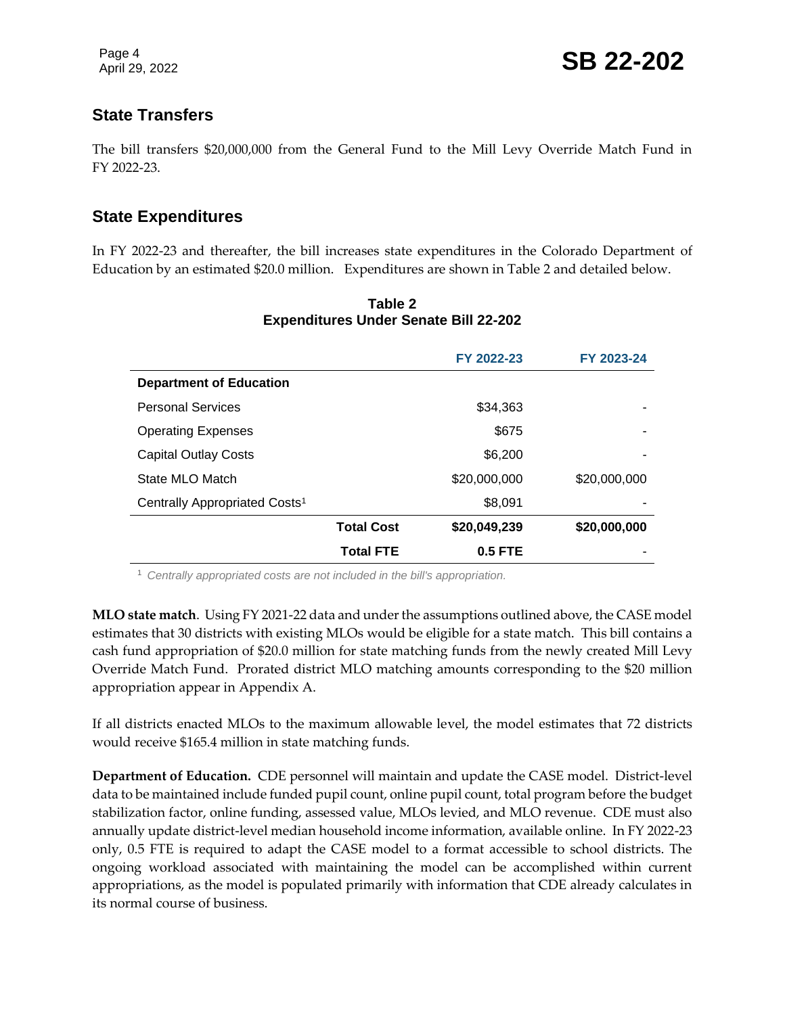#### **State Transfers**

The bill transfers \$20,000,000 from the General Fund to the Mill Levy Override Match Fund in FY 2022-23.

#### **State Expenditures**

In FY 2022-23 and thereafter, the bill increases state expenditures in the Colorado Department of Education by an estimated \$20.0 million. Expenditures are shown in Table 2 and detailed below.

|                                           |                   | FY 2022-23   | FY 2023-24   |
|-------------------------------------------|-------------------|--------------|--------------|
| <b>Department of Education</b>            |                   |              |              |
| <b>Personal Services</b>                  |                   | \$34,363     |              |
| <b>Operating Expenses</b>                 |                   | \$675        | ۰            |
| <b>Capital Outlay Costs</b>               |                   | \$6,200      |              |
| State MLO Match                           |                   | \$20,000,000 | \$20,000,000 |
| Centrally Appropriated Costs <sup>1</sup> |                   | \$8,091      |              |
|                                           | <b>Total Cost</b> | \$20,049,239 | \$20,000,000 |
|                                           | <b>Total FTE</b>  | $0.5$ FTE    |              |

#### **Table 2 Expenditures Under Senate Bill 22-202**

<sup>1</sup> *Centrally appropriated costs are not included in the bill's appropriation.*

**MLO state match**. Using FY 2021-22 data and under the assumptions outlined above, the CASE model estimates that 30 districts with existing MLOs would be eligible for a state match. This bill contains a cash fund appropriation of \$20.0 million for state matching funds from the newly created Mill Levy Override Match Fund. Prorated district MLO matching amounts corresponding to the \$20 million appropriation appear in Appendix A.

If all districts enacted MLOs to the maximum allowable level, the model estimates that 72 districts would receive \$165.4 million in state matching funds.

**Department of Education.** CDE personnel will maintain and update the CASE model. District-level data to be maintained include funded pupil count, online pupil count, total program before the budget stabilization factor, online funding, assessed value, MLOs levied, and MLO revenue. CDE must also annually update district-level median household income information, available online. In FY 2022-23 only, 0.5 FTE is required to adapt the CASE model to a format accessible to school districts. The ongoing workload associated with maintaining the model can be accomplished within current appropriations, as the model is populated primarily with information that CDE already calculates in its normal course of business.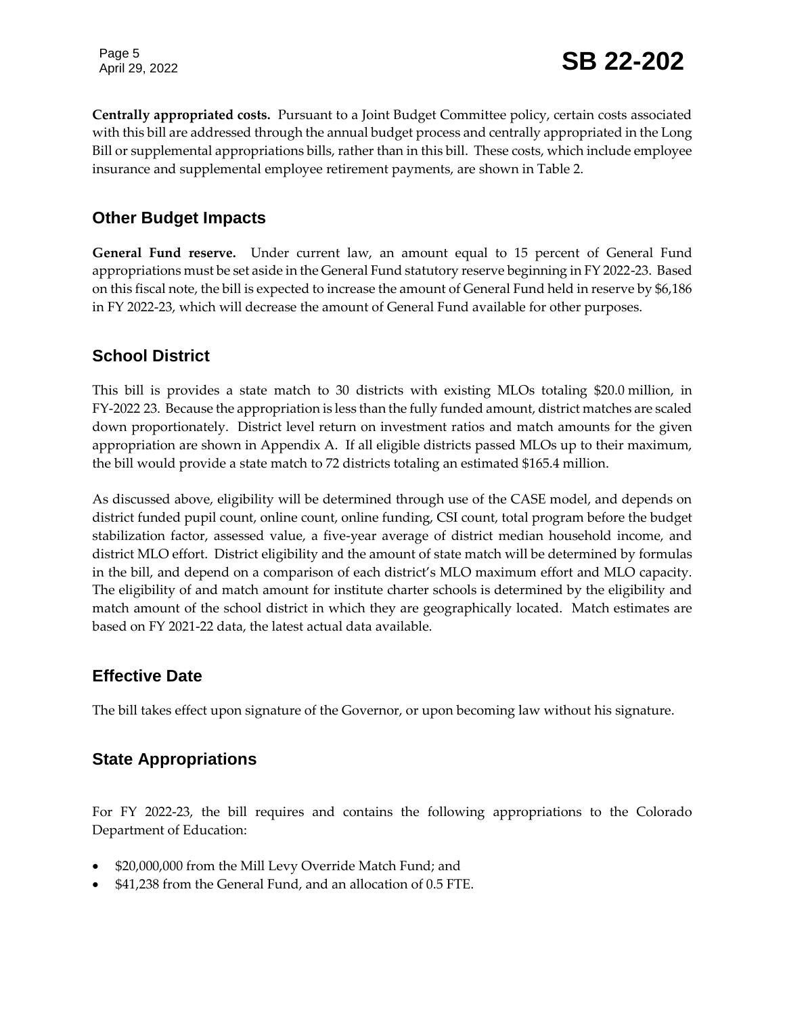Page 5<br>April 29, 2022 **SB 22-202** 

**Centrally appropriated costs.** Pursuant to a Joint Budget Committee policy, certain costs associated with this bill are addressed through the annual budget process and centrally appropriated in the Long Bill or supplemental appropriations bills, rather than in this bill. These costs, which include employee insurance and supplemental employee retirement payments, are shown in Table 2.

#### **Other Budget Impacts**

**General Fund reserve.** Under current law, an amount equal to 15 percent of General Fund appropriations must be set aside in the General Fund statutory reserve beginning in FY 2022-23. Based on this fiscal note, the bill is expected to increase the amount of General Fund held in reserve by \$6,186 in FY 2022-23, which will decrease the amount of General Fund available for other purposes.

#### **School District**

This bill is provides a state match to 30 districts with existing MLOs totaling \$20.0 million, in FY-2022 23. Because the appropriation is less than the fully funded amount, district matches are scaled down proportionately. District level return on investment ratios and match amounts for the given appropriation are shown in Appendix A. If all eligible districts passed MLOs up to their maximum, the bill would provide a state match to 72 districts totaling an estimated \$165.4 million.

As discussed above, eligibility will be determined through use of the CASE model, and depends on district funded pupil count, online count, online funding, CSI count, total program before the budget stabilization factor, assessed value, a five-year average of district median household income, and district MLO effort. District eligibility and the amount of state match will be determined by formulas in the bill, and depend on a comparison of each district's MLO maximum effort and MLO capacity. The eligibility of and match amount for institute charter schools is determined by the eligibility and match amount of the school district in which they are geographically located. Match estimates are based on FY 2021-22 data, the latest actual data available.

#### **Effective Date**

The bill takes effect upon signature of the Governor, or upon becoming law without his signature.

#### **State Appropriations**

For FY 2022-23, the bill requires and contains the following appropriations to the Colorado Department of Education:

- \$20,000,000 from the Mill Levy Override Match Fund; and
- \$41,238 from the General Fund, and an allocation of 0.5 FTE.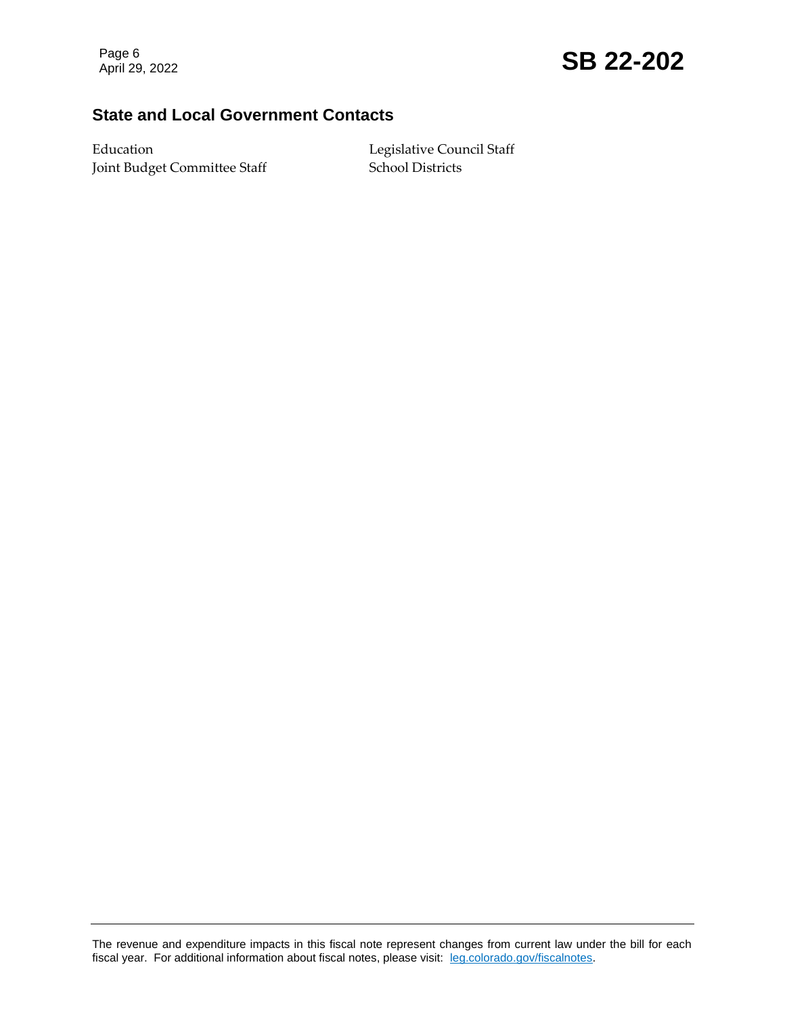### Page 6<br>April 29, 2022 **SB 22-202**

#### **State and Local Government Contacts**

Education Legislative Council Staff Joint Budget Committee Staff School Districts

The revenue and expenditure impacts in this fiscal note represent changes from current law under the bill for each fiscal year. For additional information about fiscal notes, please visit: [leg.colorado.gov/fiscalnotes.](https://leg.colorado.gov/fiscalnotes)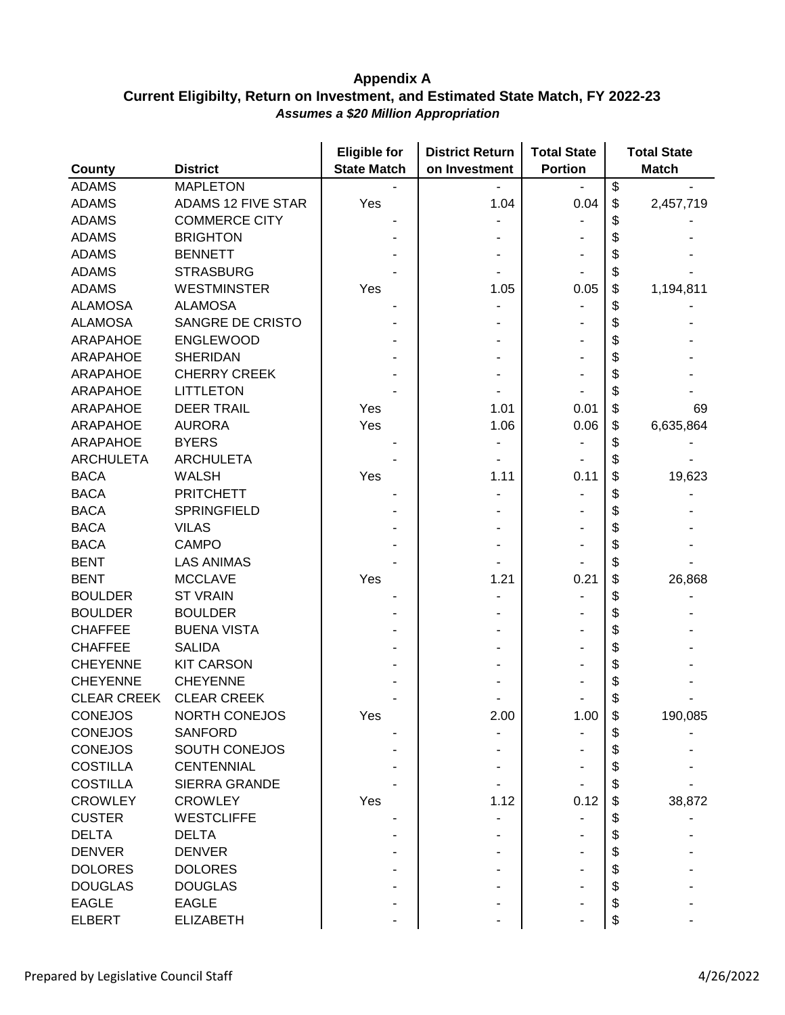|                    |                           | <b>Eligible for</b> | <b>District Return</b> | <b>Total State</b> | <b>Total State</b> |
|--------------------|---------------------------|---------------------|------------------------|--------------------|--------------------|
| <b>County</b>      | <b>District</b>           | <b>State Match</b>  | on Investment          | <b>Portion</b>     | <b>Match</b>       |
| <b>ADAMS</b>       | <b>MAPLETON</b>           |                     |                        |                    | \$                 |
| <b>ADAMS</b>       | <b>ADAMS 12 FIVE STAR</b> | Yes                 | 1.04                   | 0.04               | \$<br>2,457,719    |
| <b>ADAMS</b>       | <b>COMMERCE CITY</b>      |                     |                        |                    | \$                 |
| <b>ADAMS</b>       | <b>BRIGHTON</b>           |                     |                        |                    |                    |
| <b>ADAMS</b>       | <b>BENNETT</b>            |                     |                        |                    | \$                 |
| <b>ADAMS</b>       | <b>STRASBURG</b>          |                     |                        |                    | \$                 |
| <b>ADAMS</b>       | <b>WESTMINSTER</b>        | Yes                 | 1.05                   | 0.05               | \$<br>1,194,811    |
| <b>ALAMOSA</b>     | <b>ALAMOSA</b>            |                     |                        |                    | \$                 |
| <b>ALAMOSA</b>     | <b>SANGRE DE CRISTO</b>   |                     |                        |                    | \$                 |
| <b>ARAPAHOE</b>    | <b>ENGLEWOOD</b>          |                     |                        |                    | \$                 |
| <b>ARAPAHOE</b>    | <b>SHERIDAN</b>           |                     |                        |                    | \$                 |
| ARAPAHOE           | <b>CHERRY CREEK</b>       |                     |                        |                    | \$                 |
| ARAPAHOE           | <b>LITTLETON</b>          |                     |                        |                    | \$                 |
| <b>ARAPAHOE</b>    | <b>DEER TRAIL</b>         | Yes                 | 1.01                   | 0.01               | \$<br>69           |
| <b>ARAPAHOE</b>    | <b>AURORA</b>             | Yes                 | 1.06                   | 0.06               | \$<br>6,635,864    |
| <b>ARAPAHOE</b>    | <b>BYERS</b>              |                     |                        |                    | \$                 |
| <b>ARCHULETA</b>   | <b>ARCHULETA</b>          |                     |                        |                    | \$                 |
| <b>BACA</b>        | <b>WALSH</b>              | Yes                 | 1.11                   | 0.11               | \$<br>19,623       |
| <b>BACA</b>        | <b>PRITCHETT</b>          |                     |                        |                    | \$                 |
| <b>BACA</b>        | <b>SPRINGFIELD</b>        |                     |                        |                    | \$                 |
| <b>BACA</b>        | <b>VILAS</b>              |                     |                        |                    | \$                 |
| <b>BACA</b>        | <b>CAMPO</b>              |                     |                        |                    | \$                 |
| <b>BENT</b>        | <b>LAS ANIMAS</b>         |                     |                        |                    | \$                 |
| <b>BENT</b>        | <b>MCCLAVE</b>            | Yes                 | 1.21                   | 0.21               | \$<br>26,868       |
| <b>BOULDER</b>     | <b>ST VRAIN</b>           |                     |                        |                    | \$                 |
| <b>BOULDER</b>     | <b>BOULDER</b>            |                     |                        |                    | \$                 |
| <b>CHAFFEE</b>     | <b>BUENA VISTA</b>        |                     |                        |                    | \$                 |
| <b>CHAFFEE</b>     | <b>SALIDA</b>             |                     |                        |                    | \$                 |
| <b>CHEYENNE</b>    | <b>KIT CARSON</b>         |                     |                        |                    | \$                 |
| <b>CHEYENNE</b>    | <b>CHEYENNE</b>           |                     |                        |                    | \$                 |
| <b>CLEAR CREEK</b> | <b>CLEAR CREEK</b>        |                     |                        |                    | \$                 |
| <b>CONEJOS</b>     | <b>NORTH CONEJOS</b>      | Yes                 | 2.00                   | 1.00               | 190,085            |
| <b>CONEJOS</b>     | SANFORD                   |                     |                        |                    | \$                 |
| <b>CONEJOS</b>     | <b>SOUTH CONEJOS</b>      |                     |                        |                    | \$                 |
| <b>COSTILLA</b>    | <b>CENTENNIAL</b>         |                     |                        |                    | \$                 |
| <b>COSTILLA</b>    | <b>SIERRA GRANDE</b>      |                     |                        |                    | \$                 |
| <b>CROWLEY</b>     | <b>CROWLEY</b>            | Yes                 | 1.12                   | 0.12               | \$<br>38,872       |
| <b>CUSTER</b>      | <b>WESTCLIFFE</b>         |                     |                        |                    | \$                 |
| <b>DELTA</b>       | <b>DELTA</b>              |                     |                        |                    | \$                 |
| <b>DENVER</b>      | <b>DENVER</b>             |                     |                        |                    | \$                 |
| <b>DOLORES</b>     | <b>DOLORES</b>            |                     |                        |                    | \$                 |
| <b>DOUGLAS</b>     | <b>DOUGLAS</b>            |                     |                        |                    | \$                 |
| <b>EAGLE</b>       | <b>EAGLE</b>              |                     |                        |                    | \$                 |
| <b>ELBERT</b>      | <b>ELIZABETH</b>          |                     |                        |                    | \$                 |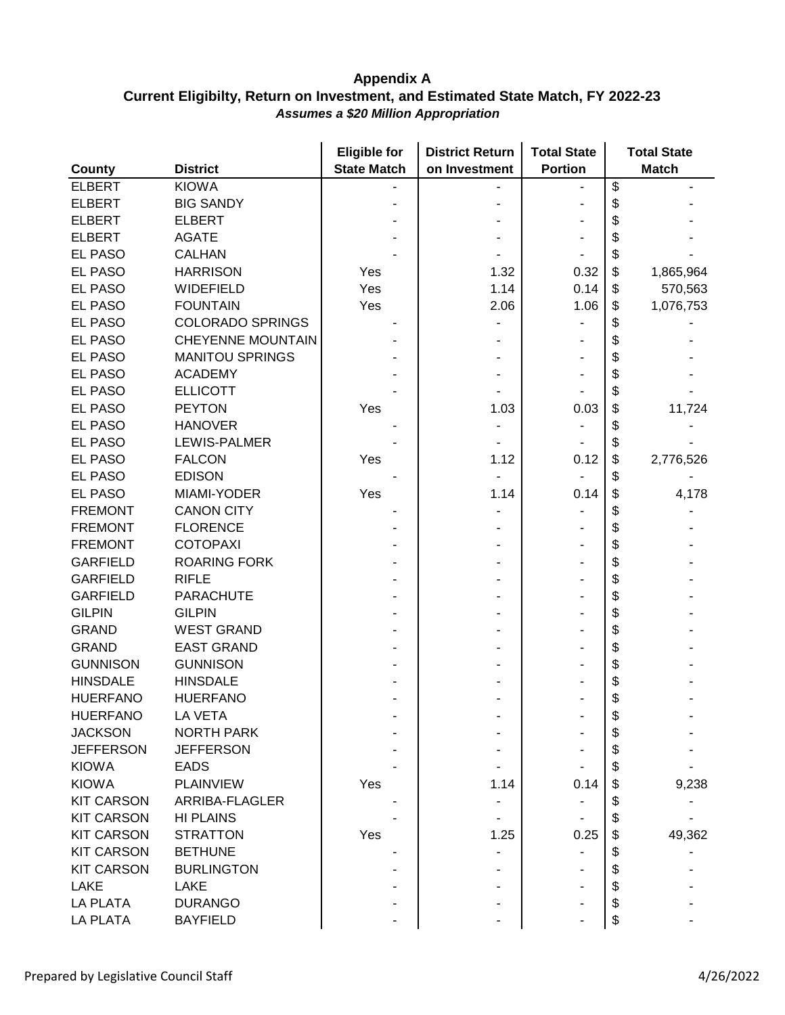| <b>County</b>     | <b>District</b>          | <b>Eligible for</b><br><b>State Match</b> | <b>District Return</b><br>on Investment | <b>Total State</b><br><b>Portion</b> |    | <b>Total State</b><br><b>Match</b> |
|-------------------|--------------------------|-------------------------------------------|-----------------------------------------|--------------------------------------|----|------------------------------------|
| <b>ELBERT</b>     | <b>KIOWA</b>             |                                           |                                         |                                      | \$ |                                    |
| <b>ELBERT</b>     | <b>BIG SANDY</b>         |                                           |                                         |                                      | \$ |                                    |
| <b>ELBERT</b>     | <b>ELBERT</b>            |                                           |                                         |                                      | \$ |                                    |
| <b>ELBERT</b>     | <b>AGATE</b>             |                                           |                                         |                                      | \$ |                                    |
| <b>EL PASO</b>    | <b>CALHAN</b>            |                                           |                                         |                                      | \$ |                                    |
| <b>EL PASO</b>    | <b>HARRISON</b>          | Yes                                       | 1.32                                    | 0.32                                 | \$ | 1,865,964                          |
| <b>EL PASO</b>    | WIDEFIELD                | Yes                                       | 1.14                                    | 0.14                                 | \$ | 570,563                            |
| <b>EL PASO</b>    | <b>FOUNTAIN</b>          | Yes                                       | 2.06                                    | 1.06                                 | \$ | 1,076,753                          |
| <b>EL PASO</b>    | <b>COLORADO SPRINGS</b>  |                                           |                                         |                                      | \$ |                                    |
| <b>EL PASO</b>    | <b>CHEYENNE MOUNTAIN</b> |                                           |                                         |                                      | \$ |                                    |
| <b>EL PASO</b>    | <b>MANITOU SPRINGS</b>   |                                           |                                         |                                      | \$ |                                    |
| <b>EL PASO</b>    | <b>ACADEMY</b>           |                                           |                                         |                                      | \$ |                                    |
| EL PASO           | <b>ELLICOTT</b>          |                                           |                                         |                                      | \$ |                                    |
| <b>EL PASO</b>    | <b>PEYTON</b>            | Yes                                       | 1.03                                    | 0.03                                 | \$ | 11,724                             |
| <b>EL PASO</b>    | <b>HANOVER</b>           |                                           |                                         |                                      | \$ |                                    |
| <b>EL PASO</b>    | LEWIS-PALMER             |                                           |                                         |                                      | \$ |                                    |
|                   |                          |                                           |                                         | 0.12                                 | \$ |                                    |
| EL PASO           | <b>FALCON</b>            | Yes                                       | 1.12                                    |                                      |    | 2,776,526                          |
| <b>EL PASO</b>    | <b>EDISON</b>            |                                           |                                         |                                      | \$ |                                    |
| <b>EL PASO</b>    | MIAMI-YODER              | Yes                                       | 1.14                                    | 0.14                                 | \$ | 4,178                              |
| <b>FREMONT</b>    | <b>CANON CITY</b>        |                                           |                                         |                                      | \$ |                                    |
| <b>FREMONT</b>    | <b>FLORENCE</b>          |                                           |                                         |                                      | \$ |                                    |
| <b>FREMONT</b>    | <b>COTOPAXI</b>          |                                           |                                         |                                      | \$ |                                    |
| <b>GARFIELD</b>   | <b>ROARING FORK</b>      |                                           |                                         |                                      | \$ |                                    |
| <b>GARFIELD</b>   | <b>RIFLE</b>             |                                           |                                         |                                      | \$ |                                    |
| <b>GARFIELD</b>   | <b>PARACHUTE</b>         |                                           |                                         |                                      | \$ |                                    |
| <b>GILPIN</b>     | <b>GILPIN</b>            |                                           |                                         |                                      | \$ |                                    |
| <b>GRAND</b>      | <b>WEST GRAND</b>        |                                           |                                         |                                      | \$ |                                    |
| <b>GRAND</b>      | <b>EAST GRAND</b>        |                                           |                                         |                                      | \$ |                                    |
| <b>GUNNISON</b>   | <b>GUNNISON</b>          |                                           |                                         |                                      | \$ |                                    |
| <b>HINSDALE</b>   | <b>HINSDALE</b>          |                                           |                                         |                                      | \$ |                                    |
| <b>HUERFANO</b>   | <b>HUERFANO</b>          |                                           |                                         |                                      | \$ |                                    |
| <b>HUERFANO</b>   | LA VETA                  |                                           |                                         |                                      |    |                                    |
| <b>JACKSON</b>    | <b>NORTH PARK</b>        |                                           |                                         |                                      | \$ |                                    |
| <b>JEFFERSON</b>  | <b>JEFFERSON</b>         |                                           |                                         |                                      | \$ |                                    |
| <b>KIOWA</b>      | <b>EADS</b>              |                                           |                                         |                                      | \$ |                                    |
| <b>KIOWA</b>      | <b>PLAINVIEW</b>         | Yes                                       | 1.14                                    | 0.14                                 | S  | 9,238                              |
| <b>KIT CARSON</b> | ARRIBA-FLAGLER           |                                           |                                         |                                      | \$ |                                    |
| <b>KIT CARSON</b> | <b>HI PLAINS</b>         |                                           |                                         |                                      | \$ |                                    |
| <b>KIT CARSON</b> | <b>STRATTON</b>          | Yes                                       | 1.25                                    | 0.25                                 | \$ | 49,362                             |
| <b>KIT CARSON</b> | <b>BETHUNE</b>           |                                           |                                         |                                      | \$ |                                    |
| <b>KIT CARSON</b> | <b>BURLINGTON</b>        |                                           |                                         |                                      | \$ |                                    |
| <b>LAKE</b>       | <b>LAKE</b>              |                                           |                                         |                                      | \$ |                                    |
| <b>LA PLATA</b>   | <b>DURANGO</b>           |                                           |                                         |                                      | \$ |                                    |
| <b>LA PLATA</b>   | <b>BAYFIELD</b>          |                                           |                                         |                                      |    |                                    |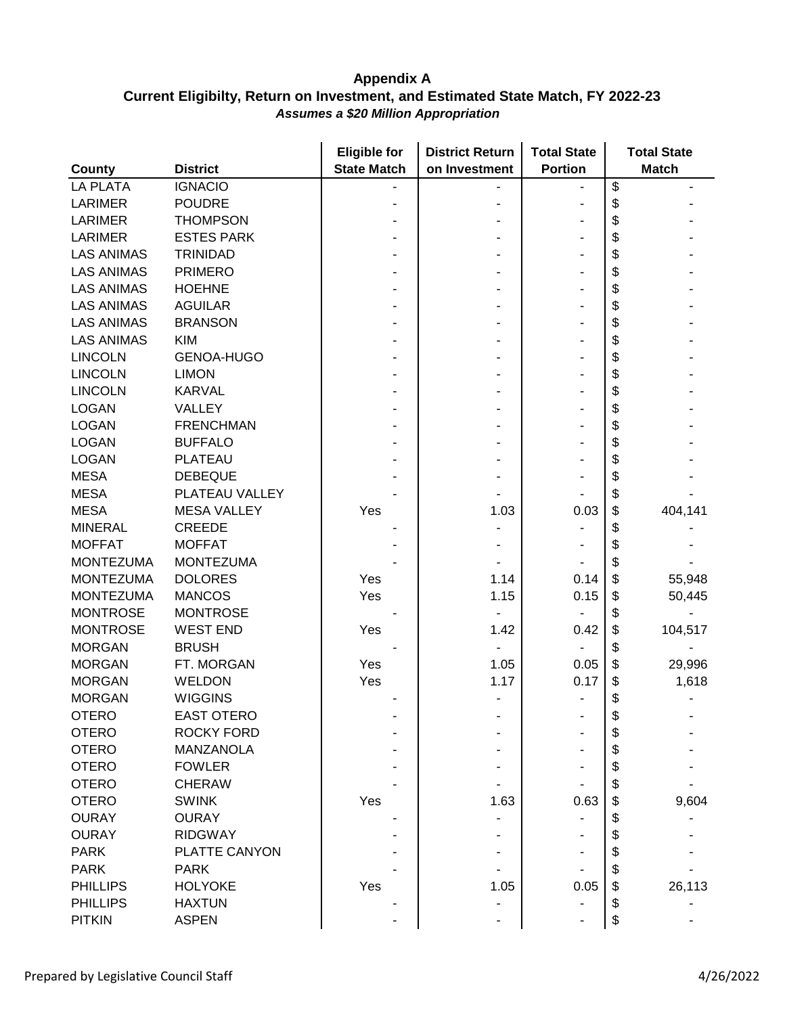|                   |                    | <b>Eligible for</b> | <b>District Return</b> | <b>Total State</b> | <b>Total State</b> |
|-------------------|--------------------|---------------------|------------------------|--------------------|--------------------|
| County            | <b>District</b>    | <b>State Match</b>  | on Investment          | <b>Portion</b>     | <b>Match</b>       |
| <b>LA PLATA</b>   | <b>IGNACIO</b>     |                     |                        |                    | \$                 |
| <b>LARIMER</b>    | <b>POUDRE</b>      |                     |                        |                    | \$                 |
| <b>LARIMER</b>    | <b>THOMPSON</b>    |                     |                        |                    | \$                 |
| <b>LARIMER</b>    | <b>ESTES PARK</b>  |                     |                        |                    | \$                 |
| <b>LAS ANIMAS</b> | <b>TRINIDAD</b>    |                     |                        |                    | \$                 |
| <b>LAS ANIMAS</b> | <b>PRIMERO</b>     |                     |                        |                    | \$                 |
| <b>LAS ANIMAS</b> | <b>HOEHNE</b>      |                     |                        |                    | \$                 |
| <b>LAS ANIMAS</b> | <b>AGUILAR</b>     |                     |                        |                    | \$                 |
| <b>LAS ANIMAS</b> | <b>BRANSON</b>     |                     |                        |                    | \$                 |
| <b>LAS ANIMAS</b> | <b>KIM</b>         |                     |                        |                    | \$                 |
| <b>LINCOLN</b>    | <b>GENOA-HUGO</b>  |                     |                        |                    | \$                 |
| <b>LINCOLN</b>    | <b>LIMON</b>       |                     |                        |                    | \$                 |
| <b>LINCOLN</b>    | <b>KARVAL</b>      |                     |                        |                    | \$                 |
| <b>LOGAN</b>      | VALLEY             |                     |                        |                    | \$                 |
| <b>LOGAN</b>      | <b>FRENCHMAN</b>   |                     |                        |                    | \$                 |
| <b>LOGAN</b>      | <b>BUFFALO</b>     |                     |                        |                    | \$                 |
| <b>LOGAN</b>      | <b>PLATEAU</b>     |                     |                        |                    | \$                 |
| <b>MESA</b>       | <b>DEBEQUE</b>     |                     |                        |                    | \$                 |
| <b>MESA</b>       | PLATEAU VALLEY     |                     |                        |                    | \$                 |
| <b>MESA</b>       | <b>MESA VALLEY</b> | Yes                 | 1.03                   | 0.03               | \$<br>404,141      |
| <b>MINERAL</b>    | <b>CREEDE</b>      |                     |                        |                    | \$                 |
| <b>MOFFAT</b>     | <b>MOFFAT</b>      |                     |                        |                    | \$                 |
| <b>MONTEZUMA</b>  | <b>MONTEZUMA</b>   |                     |                        |                    | \$                 |
| <b>MONTEZUMA</b>  | <b>DOLORES</b>     | Yes                 | 1.14                   | 0.14               | \$<br>55,948       |
| <b>MONTEZUMA</b>  | <b>MANCOS</b>      | Yes                 | 1.15                   | 0.15               | \$<br>50,445       |
| <b>MONTROSE</b>   | <b>MONTROSE</b>    |                     |                        |                    | \$                 |
| <b>MONTROSE</b>   | <b>WEST END</b>    | Yes                 | 1.42                   | 0.42               | \$<br>104,517      |
| <b>MORGAN</b>     | <b>BRUSH</b>       |                     |                        |                    | \$                 |
| <b>MORGAN</b>     | FT. MORGAN         | Yes                 | 1.05                   | 0.05               | \$<br>29,996       |
| <b>MORGAN</b>     | <b>WELDON</b>      | Yes                 | 1.17                   | 0.17               | \$<br>1,618        |
| <b>MORGAN</b>     | <b>WIGGINS</b>     |                     |                        |                    | \$                 |
| <b>OTERO</b>      | <b>EAST OTERO</b>  |                     |                        |                    |                    |
| <b>OTERO</b>      | <b>ROCKY FORD</b>  |                     |                        |                    | \$                 |
| <b>OTERO</b>      | MANZANOLA          |                     |                        |                    | \$                 |
| <b>OTERO</b>      | <b>FOWLER</b>      |                     |                        |                    |                    |
| <b>OTERO</b>      | <b>CHERAW</b>      |                     |                        |                    | \$                 |
|                   |                    |                     |                        |                    |                    |
| <b>OTERO</b>      | <b>SWINK</b>       | Yes                 | 1.63                   | 0.63               | 9,604              |
| <b>OURAY</b>      | <b>OURAY</b>       |                     |                        |                    |                    |
| <b>OURAY</b>      | <b>RIDGWAY</b>     |                     |                        |                    |                    |
| <b>PARK</b>       | PLATTE CANYON      |                     |                        |                    |                    |
| <b>PARK</b>       | <b>PARK</b>        |                     |                        |                    |                    |
| <b>PHILLIPS</b>   | <b>HOLYOKE</b>     | Yes                 | 1.05                   | 0.05               | \$<br>26,113       |
| <b>PHILLIPS</b>   | <b>HAXTUN</b>      |                     |                        |                    | \$                 |
| <b>PITKIN</b>     | <b>ASPEN</b>       |                     |                        |                    | \$                 |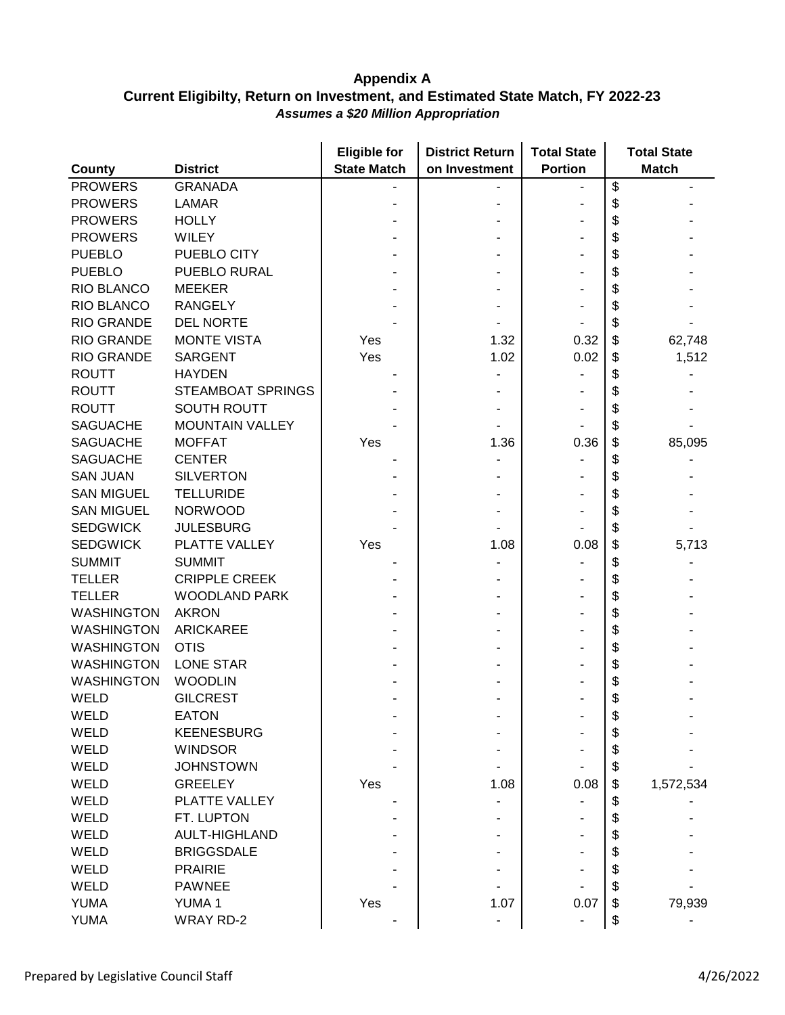|                   |                        | <b>Eligible for</b> | <b>District Return</b><br><b>Total State</b> |                | <b>Total State</b> |              |
|-------------------|------------------------|---------------------|----------------------------------------------|----------------|--------------------|--------------|
| <b>County</b>     | <b>District</b>        | <b>State Match</b>  | on Investment                                | <b>Portion</b> |                    | <b>Match</b> |
| <b>PROWERS</b>    | <b>GRANADA</b>         |                     |                                              |                | \$                 |              |
| <b>PROWERS</b>    | <b>LAMAR</b>           |                     |                                              |                | \$                 |              |
| <b>PROWERS</b>    | <b>HOLLY</b>           |                     |                                              |                | \$                 |              |
| <b>PROWERS</b>    | <b>WILEY</b>           |                     |                                              |                | \$                 |              |
| <b>PUEBLO</b>     | PUEBLO CITY            |                     |                                              |                | \$                 |              |
| <b>PUEBLO</b>     | PUEBLO RURAL           |                     |                                              |                | \$                 |              |
| RIO BLANCO        | <b>MEEKER</b>          |                     |                                              |                | \$                 |              |
| RIO BLANCO        | <b>RANGELY</b>         |                     |                                              |                | \$                 |              |
| <b>RIO GRANDE</b> | <b>DEL NORTE</b>       |                     |                                              |                | \$                 |              |
| <b>RIO GRANDE</b> | <b>MONTE VISTA</b>     | Yes                 | 1.32                                         | 0.32           | \$                 | 62,748       |
| <b>RIO GRANDE</b> | <b>SARGENT</b>         | Yes                 | 1.02                                         | 0.02           | \$                 | 1,512        |
| <b>ROUTT</b>      | <b>HAYDEN</b>          |                     |                                              |                | \$                 |              |
| <b>ROUTT</b>      | STEAMBOAT SPRINGS      |                     |                                              |                | \$                 |              |
| <b>ROUTT</b>      | <b>SOUTH ROUTT</b>     |                     |                                              |                | \$                 |              |
| <b>SAGUACHE</b>   | <b>MOUNTAIN VALLEY</b> |                     |                                              |                | \$                 |              |
| <b>SAGUACHE</b>   | <b>MOFFAT</b>          | Yes                 | 1.36                                         | 0.36           | \$                 | 85,095       |
| <b>SAGUACHE</b>   | <b>CENTER</b>          |                     |                                              |                | \$                 |              |
| <b>SAN JUAN</b>   | <b>SILVERTON</b>       |                     |                                              |                | \$                 |              |
| <b>SAN MIGUEL</b> | <b>TELLURIDE</b>       |                     |                                              |                | \$                 |              |
| <b>SAN MIGUEL</b> | <b>NORWOOD</b>         |                     |                                              |                | \$                 |              |
| <b>SEDGWICK</b>   | <b>JULESBURG</b>       |                     |                                              |                | \$                 |              |
| <b>SEDGWICK</b>   | PLATTE VALLEY          | Yes                 | 1.08                                         | 0.08           | \$                 | 5,713        |
| <b>SUMMIT</b>     | <b>SUMMIT</b>          |                     |                                              |                | \$                 |              |
| <b>TELLER</b>     | <b>CRIPPLE CREEK</b>   |                     |                                              |                | \$                 |              |
| <b>TELLER</b>     | <b>WOODLAND PARK</b>   |                     |                                              |                | \$                 |              |
| <b>WASHINGTON</b> | <b>AKRON</b>           |                     |                                              |                | \$                 |              |
| <b>WASHINGTON</b> | <b>ARICKAREE</b>       |                     |                                              |                | \$                 |              |
| <b>WASHINGTON</b> | <b>OTIS</b>            |                     |                                              |                | \$                 |              |
| <b>WASHINGTON</b> | <b>LONE STAR</b>       |                     |                                              |                | \$                 |              |
| <b>WASHINGTON</b> | <b>WOODLIN</b>         |                     |                                              |                | \$                 |              |
| WELD              | <b>GILCREST</b>        |                     |                                              |                | \$                 |              |
| WELD              | <b>EATON</b>           |                     |                                              |                |                    |              |
| <b>WELD</b>       | <b>KEENESBURG</b>      |                     |                                              |                | \$                 |              |
| WELD              | <b>WINDSOR</b>         |                     |                                              |                | \$                 |              |
| WELD              | <b>JOHNSTOWN</b>       |                     |                                              |                | \$                 |              |
| WELD              | <b>GREELEY</b>         | Yes                 | 1.08                                         | 0.08           | \$                 | 1,572,534    |
| WELD              | PLATTE VALLEY          |                     |                                              |                | \$                 |              |
| WELD              | FT. LUPTON             |                     |                                              |                | \$                 |              |
| <b>WELD</b>       | <b>AULT-HIGHLAND</b>   |                     |                                              |                | \$                 |              |
| <b>WELD</b>       | <b>BRIGGSDALE</b>      |                     |                                              |                | \$                 |              |
| WELD              | <b>PRAIRIE</b>         |                     |                                              |                | \$                 |              |
| WELD              | <b>PAWNEE</b>          |                     |                                              |                | \$                 |              |
| <b>YUMA</b>       | <b>YUMA1</b>           | Yes                 | 1.07                                         | 0.07           | \$                 | 79,939       |
| <b>YUMA</b>       | <b>WRAY RD-2</b>       |                     |                                              |                | \$                 |              |
|                   |                        |                     |                                              |                |                    |              |